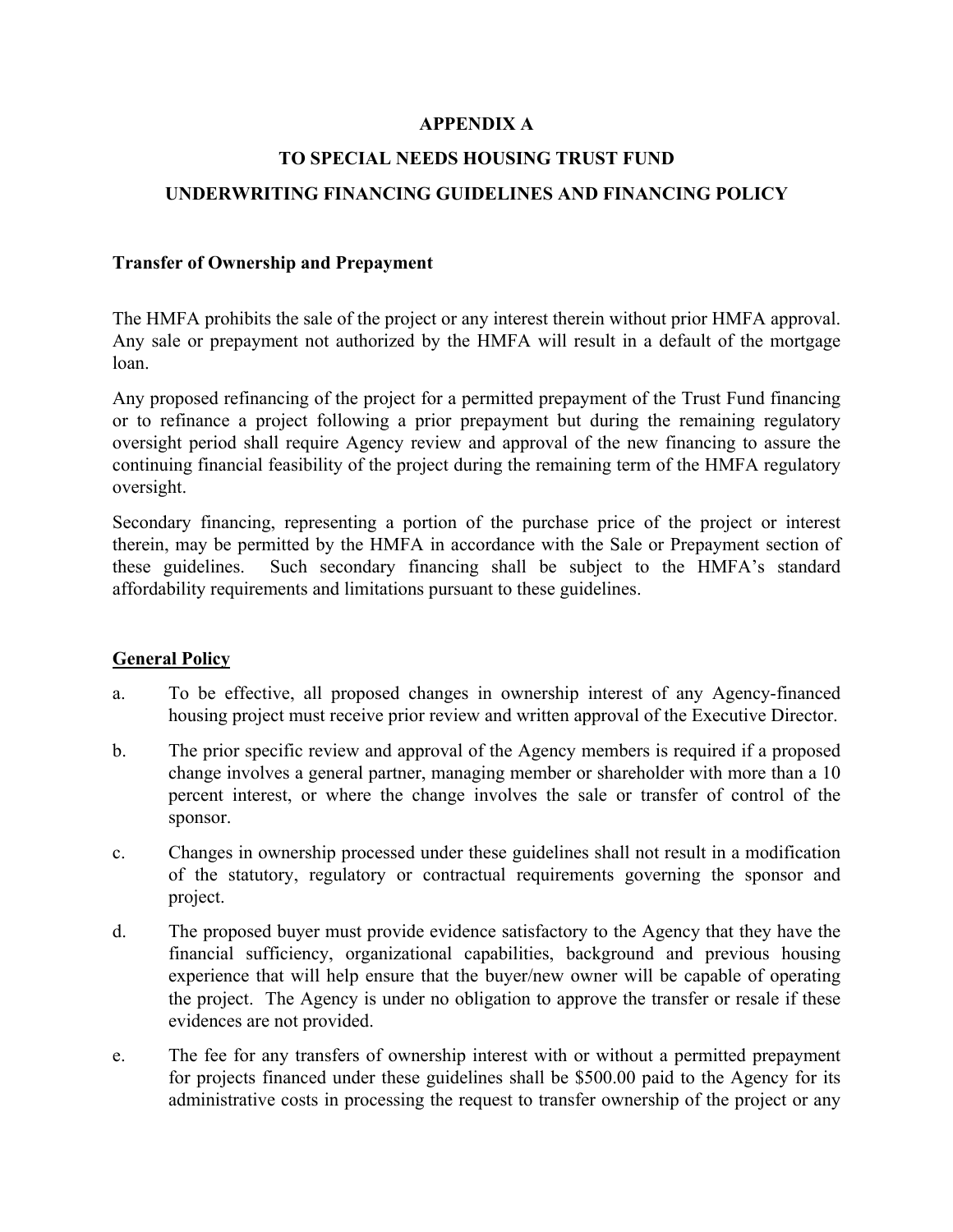### **APPENDIX A**

# **TO SPECIAL NEEDS HOUSING TRUST FUND**

# **UNDERWRITING FINANCING GUIDELINES AND FINANCING POLICY**

#### **Transfer of Ownership and Prepayment**

The HMFA prohibits the sale of the project or any interest therein without prior HMFA approval. Any sale or prepayment not authorized by the HMFA will result in a default of the mortgage loan.

Any proposed refinancing of the project for a permitted prepayment of the Trust Fund financing or to refinance a project following a prior prepayment but during the remaining regulatory oversight period shall require Agency review and approval of the new financing to assure the continuing financial feasibility of the project during the remaining term of the HMFA regulatory oversight.

Secondary financing, representing a portion of the purchase price of the project or interest therein, may be permitted by the HMFA in accordance with the Sale or Prepayment section of these guidelines. Such secondary financing shall be subject to the HMFA's standard affordability requirements and limitations pursuant to these guidelines.

#### **General Policy**

- a. To be effective, all proposed changes in ownership interest of any Agency-financed housing project must receive prior review and written approval of the Executive Director.
- b. The prior specific review and approval of the Agency members is required if a proposed change involves a general partner, managing member or shareholder with more than a 10 percent interest, or where the change involves the sale or transfer of control of the sponsor.
- c. Changes in ownership processed under these guidelines shall not result in a modification of the statutory, regulatory or contractual requirements governing the sponsor and project.
- d. The proposed buyer must provide evidence satisfactory to the Agency that they have the financial sufficiency, organizational capabilities, background and previous housing experience that will help ensure that the buyer/new owner will be capable of operating the project. The Agency is under no obligation to approve the transfer or resale if these evidences are not provided.
- e. The fee for any transfers of ownership interest with or without a permitted prepayment for projects financed under these guidelines shall be \$500.00 paid to the Agency for its administrative costs in processing the request to transfer ownership of the project or any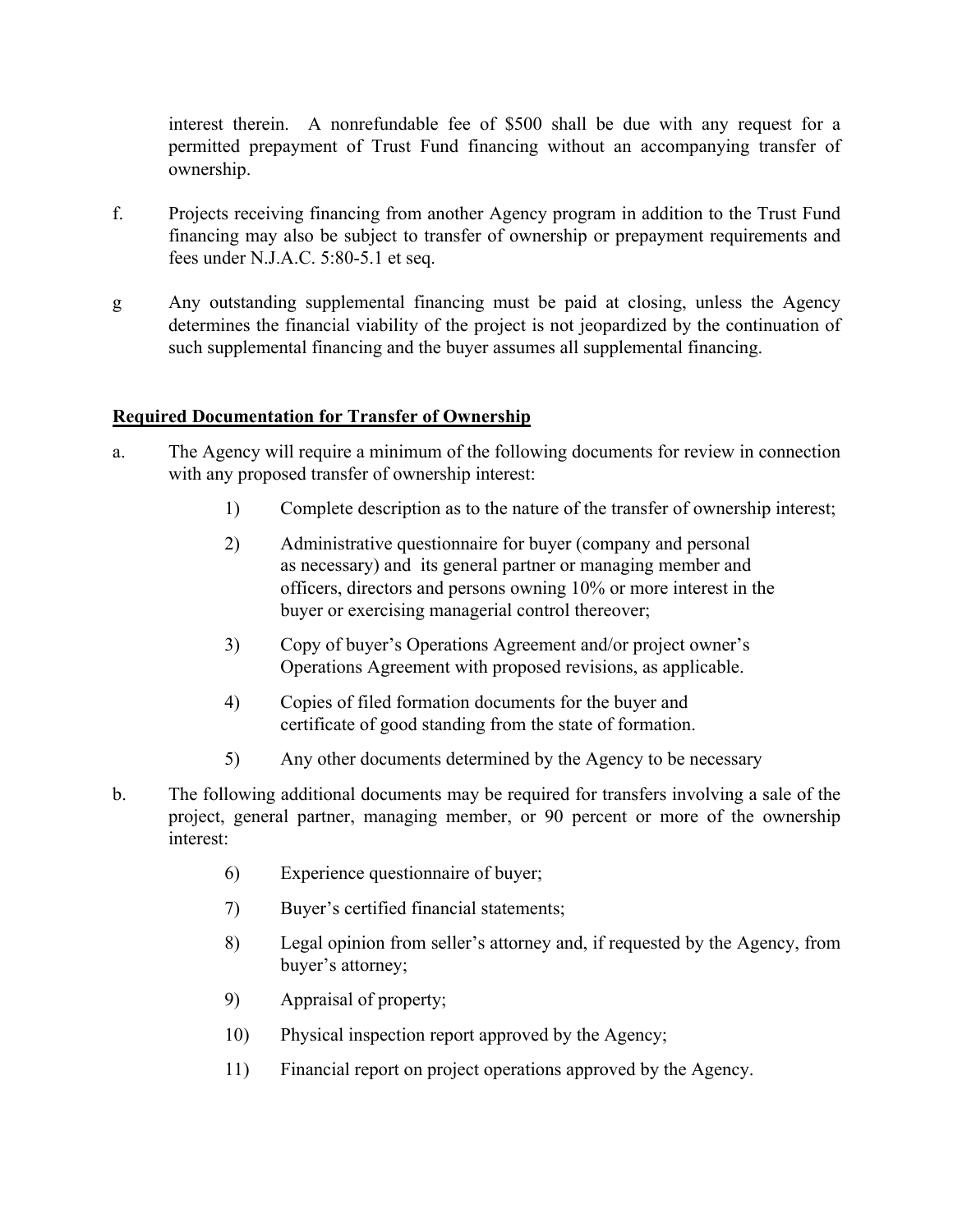interest therein. A nonrefundable fee of \$500 shall be due with any request for a permitted prepayment of Trust Fund financing without an accompanying transfer of ownership.

- f. Projects receiving financing from another Agency program in addition to the Trust Fund financing may also be subject to transfer of ownership or prepayment requirements and fees under N.J.A.C. 5:80-5.1 et seq.
- g Any outstanding supplemental financing must be paid at closing, unless the Agency determines the financial viability of the project is not jeopardized by the continuation of such supplemental financing and the buyer assumes all supplemental financing.

# **Required Documentation for Transfer of Ownership**

- a. The Agency will require a minimum of the following documents for review in connection with any proposed transfer of ownership interest:
	- 1) Complete description as to the nature of the transfer of ownership interest;
	- 2) Administrative questionnaire for buyer (company and personal as necessary) and its general partner or managing member and officers, directors and persons owning 10% or more interest in the buyer or exercising managerial control thereover;
	- 3) Copy of buyer's Operations Agreement and/or project owner's Operations Agreement with proposed revisions, as applicable.
	- 4) Copies of filed formation documents for the buyer and certificate of good standing from the state of formation.
	- 5) Any other documents determined by the Agency to be necessary
- b. The following additional documents may be required for transfers involving a sale of the project, general partner, managing member, or 90 percent or more of the ownership interest:
	- 6) Experience questionnaire of buyer;
	- 7) Buyer's certified financial statements;
	- 8) Legal opinion from seller's attorney and, if requested by the Agency, from buyer's attorney;
	- 9) Appraisal of property;
	- 10) Physical inspection report approved by the Agency;
	- 11) Financial report on project operations approved by the Agency.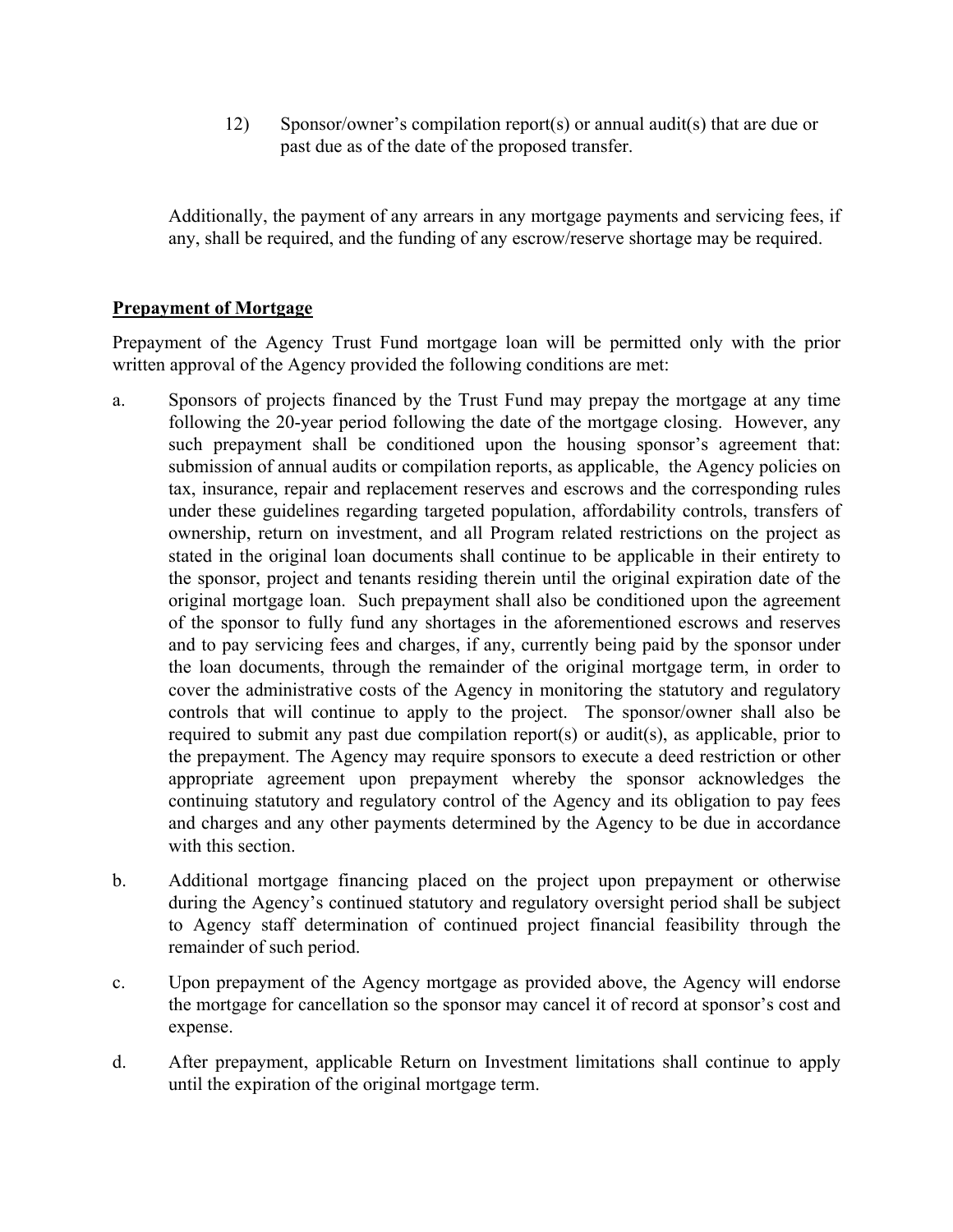12) Sponsor/owner's compilation report(s) or annual audit(s) that are due or past due as of the date of the proposed transfer.

Additionally, the payment of any arrears in any mortgage payments and servicing fees, if any, shall be required, and the funding of any escrow/reserve shortage may be required.

## **Prepayment of Mortgage**

Prepayment of the Agency Trust Fund mortgage loan will be permitted only with the prior written approval of the Agency provided the following conditions are met:

- a. Sponsors of projects financed by the Trust Fund may prepay the mortgage at any time following the 20-year period following the date of the mortgage closing. However, any such prepayment shall be conditioned upon the housing sponsor's agreement that: submission of annual audits or compilation reports, as applicable, the Agency policies on tax, insurance, repair and replacement reserves and escrows and the corresponding rules under these guidelines regarding targeted population, affordability controls, transfers of ownership, return on investment, and all Program related restrictions on the project as stated in the original loan documents shall continue to be applicable in their entirety to the sponsor, project and tenants residing therein until the original expiration date of the original mortgage loan. Such prepayment shall also be conditioned upon the agreement of the sponsor to fully fund any shortages in the aforementioned escrows and reserves and to pay servicing fees and charges, if any, currently being paid by the sponsor under the loan documents, through the remainder of the original mortgage term, in order to cover the administrative costs of the Agency in monitoring the statutory and regulatory controls that will continue to apply to the project. The sponsor/owner shall also be required to submit any past due compilation report(s) or audit(s), as applicable, prior to the prepayment. The Agency may require sponsors to execute a deed restriction or other appropriate agreement upon prepayment whereby the sponsor acknowledges the continuing statutory and regulatory control of the Agency and its obligation to pay fees and charges and any other payments determined by the Agency to be due in accordance with this section.
- b. Additional mortgage financing placed on the project upon prepayment or otherwise during the Agency's continued statutory and regulatory oversight period shall be subject to Agency staff determination of continued project financial feasibility through the remainder of such period.
- c. Upon prepayment of the Agency mortgage as provided above, the Agency will endorse the mortgage for cancellation so the sponsor may cancel it of record at sponsor's cost and expense.
- d. After prepayment, applicable Return on Investment limitations shall continue to apply until the expiration of the original mortgage term.